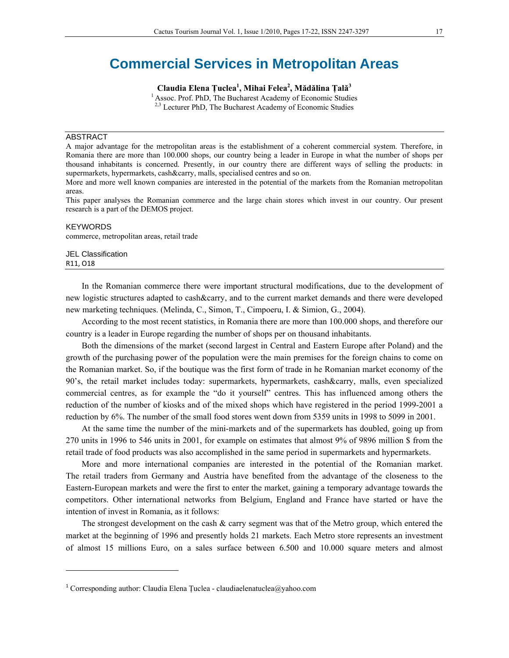# **Commercial Services in Metropolitan Areas**

**Claudia Elena Ţuclea<sup>1</sup> , Mihai Felea2 , Mădălina Ţală<sup>3</sup>**

<sup>1</sup> Assoc. Prof. PhD, The Bucharest Academy of Economic Studies  $2,3$  Lecturer PhD, The Bucharest Academy of Economic Studies

### ABSTRACT

A major advantage for the metropolitan areas is the establishment of a coherent commercial system. Therefore, in Romania there are more than 100.000 shops, our country being a leader in Europe in what the number of shops per thousand inhabitants is concerned. Presently, in our country there are different ways of selling the products: in supermarkets, hypermarkets, cash&carry, malls, specialised centres and so on.

More and more well known companies are interested in the potential of the markets from the Romanian metropolitan areas.

This paper analyses the Romanian commerce and the large chain stores which invest in our country. Our present research is a part of the DEMOS project.

#### KEYWORDS

commerce, metropolitan areas, retail trade

#### JEL Classification R11, O18

In the Romanian commerce there were important structural modifications, due to the development of new logistic structures adapted to cash&carry, and to the current market demands and there were developed new marketing techniques. (Melinda, C., Simon, T., Cimpoeru, I. & Simion, G., 2004).

According to the most recent statistics, in Romania there are more than 100.000 shops, and therefore our country is a leader in Europe regarding the number of shops per on thousand inhabitants.

Both the dimensions of the market (second largest in Central and Eastern Europe after Poland) and the growth of the purchasing power of the population were the main premises for the foreign chains to come on the Romanian market. So, if the boutique was the first form of trade in he Romanian market economy of the 90's, the retail market includes today: supermarkets, hypermarkets, cash&carry, malls, even specialized commercial centres, as for example the "do it yourself" centres. This has influenced among others the reduction of the number of kiosks and of the mixed shops which have registered in the period 1999-2001 a reduction by 6%. The number of the small food stores went down from 5359 units in 1998 to 5099 in 2001.

At the same time the number of the mini-markets and of the supermarkets has doubled, going up from 270 units in 1996 to 546 units in 2001, for example on estimates that almost 9% of 9896 million \$ from the retail trade of food products was also accomplished in the same period in supermarkets and hypermarkets.

More and more international companies are interested in the potential of the Romanian market. The retail traders from Germany and Austria have benefited from the advantage of the closeness to the Eastern-European markets and were the first to enter the market, gaining a temporary advantage towards the competitors. Other international networks from Belgium, England and France have started or have the intention of invest in Romania, as it follows:

The strongest development on the cash & carry segment was that of the Metro group, which entered the market at the beginning of 1996 and presently holds 21 markets. Each Metro store represents an investment of almost 15 millions Euro, on a sales surface between 6.500 and 10.000 square meters and almost

<sup>&</sup>lt;sup>1</sup> Corresponding author: Claudia Elena Țuclea - claudiaelenatuclea@yahoo.com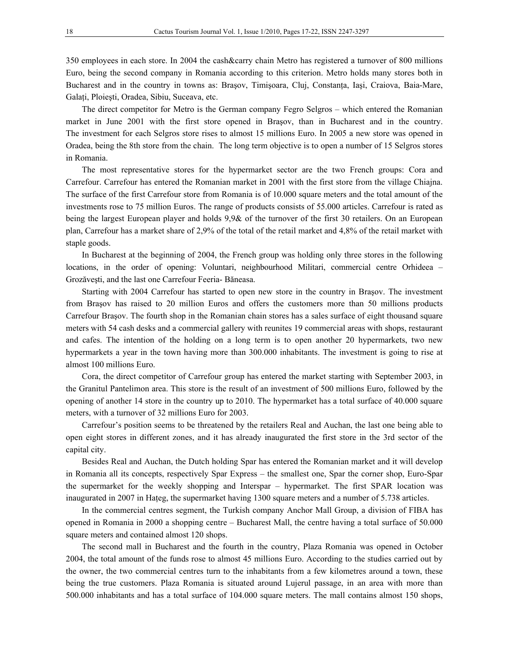350 employees in each store. In 2004 the cash&carry chain Metro has registered a turnover of 800 millions Euro, being the second company in Romania according to this criterion. Metro holds many stores both in Bucharest and in the country in towns as: Brasov, Timișoara, Cluj, Constanta, Iași, Craiova, Baia-Mare, Galaţi, Ploieşti, Oradea, Sibiu, Suceava, etc.

The direct competitor for Metro is the German company Fegro Selgros – which entered the Romanian market in June 2001 with the first store opened in Braşov, than in Bucharest and in the country. The investment for each Selgros store rises to almost 15 millions Euro. In 2005 a new store was opened in Oradea, being the 8th store from the chain. The long term objective is to open a number of 15 Selgros stores in Romania.

The most representative stores for the hypermarket sector are the two French groups: Cora and Carrefour. Carrefour has entered the Romanian market in 2001 with the first store from the village Chiajna. The surface of the first Carrefour store from Romania is of 10.000 square meters and the total amount of the investments rose to 75 million Euros. The range of products consists of 55.000 articles. Carrefour is rated as being the largest European player and holds 9,9& of the turnover of the first 30 retailers. On an European plan, Carrefour has a market share of 2,9% of the total of the retail market and 4,8% of the retail market with staple goods.

In Bucharest at the beginning of 2004, the French group was holding only three stores in the following locations, in the order of opening: Voluntari, neighbourhood Militari, commercial centre Orhideea – Grozăveşti, and the last one Carrefour Feeria- Băneasa.

Starting with 2004 Carrefour has started to open new store in the country in Braşov. The investment from Braşov has raised to 20 million Euros and offers the customers more than 50 millions products Carrefour Braşov. The fourth shop in the Romanian chain stores has a sales surface of eight thousand square meters with 54 cash desks and a commercial gallery with reunites 19 commercial areas with shops, restaurant and cafes. The intention of the holding on a long term is to open another 20 hypermarkets, two new hypermarkets a year in the town having more than 300.000 inhabitants. The investment is going to rise at almost 100 millions Euro.

Cora, the direct competitor of Carrefour group has entered the market starting with September 2003, in the Granitul Pantelimon area. This store is the result of an investment of 500 millions Euro, followed by the opening of another 14 store in the country up to 2010. The hypermarket has a total surface of 40.000 square meters, with a turnover of 32 millions Euro for 2003.

Carrefour's position seems to be threatened by the retailers Real and Auchan, the last one being able to open eight stores in different zones, and it has already inaugurated the first store in the 3rd sector of the capital city.

Besides Real and Auchan, the Dutch holding Spar has entered the Romanian market and it will develop in Romania all its concepts, respectively Spar Express – the smallest one, Spar the corner shop, Euro-Spar the supermarket for the weekly shopping and Interspar – hypermarket. The first SPAR location was inaugurated in 2007 in Hateg, the supermarket having 1300 square meters and a number of 5.738 articles.

In the commercial centres segment, the Turkish company Anchor Mall Group, a division of FIBA has opened in Romania in 2000 a shopping centre – Bucharest Mall, the centre having a total surface of 50.000 square meters and contained almost 120 shops.

The second mall in Bucharest and the fourth in the country, Plaza Romania was opened in October 2004, the total amount of the funds rose to almost 45 millions Euro. According to the studies carried out by the owner, the two commercial centres turn to the inhabitants from a few kilometres around a town, these being the true customers. Plaza Romania is situated around Lujerul passage, in an area with more than 500.000 inhabitants and has a total surface of 104.000 square meters. The mall contains almost 150 shops,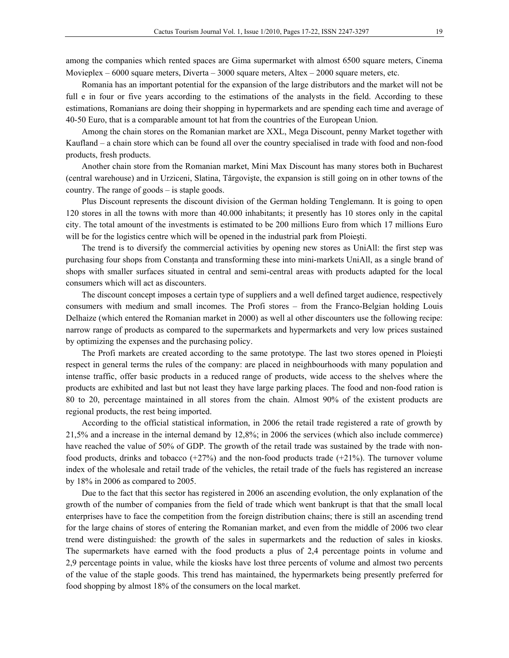among the companies which rented spaces are Gima supermarket with almost 6500 square meters, Cinema Movieplex  $-6000$  square meters, Diverta  $-3000$  square meters, Altex  $-2000$  square meters, etc.

Romania has an important potential for the expansion of the large distributors and the market will not be full e in four or five years according to the estimations of the analysts in the field. According to these estimations, Romanians are doing their shopping in hypermarkets and are spending each time and average of 40-50 Euro, that is a comparable amount tot hat from the countries of the European Union.

Among the chain stores on the Romanian market are XXL, Mega Discount, penny Market together with Kaufland – a chain store which can be found all over the country specialised in trade with food and non-food products, fresh products.

Another chain store from the Romanian market, Mini Max Discount has many stores both in Bucharest (central warehouse) and in Urziceni, Slatina, Târgovişte, the expansion is still going on in other towns of the country. The range of goods – is staple goods.

Plus Discount represents the discount division of the German holding Tenglemann. It is going to open 120 stores in all the towns with more than 40.000 inhabitants; it presently has 10 stores only in the capital city. The total amount of the investments is estimated to be 200 millions Euro from which 17 millions Euro will be for the logistics centre which will be opened in the industrial park from Ploieşti.

The trend is to diversify the commercial activities by opening new stores as UniAll: the first step was purchasing four shops from Constanţa and transforming these into mini-markets UniAll, as a single brand of shops with smaller surfaces situated in central and semi-central areas with products adapted for the local consumers which will act as discounters.

The discount concept imposes a certain type of suppliers and a well defined target audience, respectively consumers with medium and small incomes. The Profi stores – from the Franco-Belgian holding Louis Delhaize (which entered the Romanian market in 2000) as well al other discounters use the following recipe: narrow range of products as compared to the supermarkets and hypermarkets and very low prices sustained by optimizing the expenses and the purchasing policy.

The Profi markets are created according to the same prototype. The last two stores opened in Ploieşti respect in general terms the rules of the company: are placed in neighbourhoods with many population and intense traffic, offer basic products in a reduced range of products, wide access to the shelves where the products are exhibited and last but not least they have large parking places. The food and non-food ration is 80 to 20, percentage maintained in all stores from the chain. Almost 90% of the existent products are regional products, the rest being imported.

According to the official statistical information, in 2006 the retail trade registered a rate of growth by 21,5% and a increase in the internal demand by 12,8%; in 2006 the services (which also include commerce) have reached the value of 50% of GDP. The growth of the retail trade was sustained by the trade with nonfood products, drinks and tobacco  $(+27%)$  and the non-food products trade  $(+21%)$ . The turnover volume index of the wholesale and retail trade of the vehicles, the retail trade of the fuels has registered an increase by 18% in 2006 as compared to 2005.

Due to the fact that this sector has registered in 2006 an ascending evolution, the only explanation of the growth of the number of companies from the field of trade which went bankrupt is that that the small local enterprises have to face the competition from the foreign distribution chains; there is still an ascending trend for the large chains of stores of entering the Romanian market, and even from the middle of 2006 two clear trend were distinguished: the growth of the sales in supermarkets and the reduction of sales in kiosks. The supermarkets have earned with the food products a plus of 2,4 percentage points in volume and 2,9 percentage points in value, while the kiosks have lost three percents of volume and almost two percents of the value of the staple goods. This trend has maintained, the hypermarkets being presently preferred for food shopping by almost 18% of the consumers on the local market.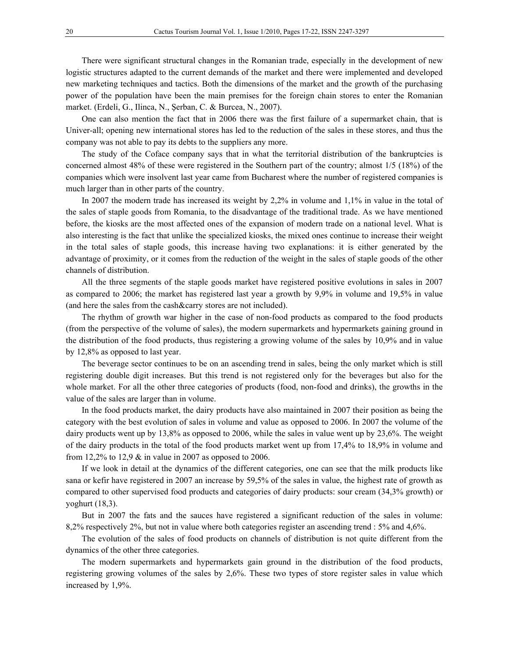There were significant structural changes in the Romanian trade, especially in the development of new logistic structures adapted to the current demands of the market and there were implemented and developed new marketing techniques and tactics. Both the dimensions of the market and the growth of the purchasing power of the population have been the main premises for the foreign chain stores to enter the Romanian market. (Erdeli, G., Ilinca, N., Şerban, C. & Burcea, N., 2007).

One can also mention the fact that in 2006 there was the first failure of a supermarket chain, that is Univer-all; opening new international stores has led to the reduction of the sales in these stores, and thus the company was not able to pay its debts to the suppliers any more.

The study of the Coface company says that in what the territorial distribution of the bankruptcies is concerned almost 48% of these were registered in the Southern part of the country; almost 1/5 (18%) of the companies which were insolvent last year came from Bucharest where the number of registered companies is much larger than in other parts of the country.

In 2007 the modern trade has increased its weight by 2,2% in volume and 1,1% in value in the total of the sales of staple goods from Romania, to the disadvantage of the traditional trade. As we have mentioned before, the kiosks are the most affected ones of the expansion of modern trade on a national level. What is also interesting is the fact that unlike the specialized kiosks, the mixed ones continue to increase their weight in the total sales of staple goods, this increase having two explanations: it is either generated by the advantage of proximity, or it comes from the reduction of the weight in the sales of staple goods of the other channels of distribution.

All the three segments of the staple goods market have registered positive evolutions in sales in 2007 as compared to 2006; the market has registered last year a growth by 9,9% in volume and 19,5% in value (and here the sales from the cash&carry stores are not included).

The rhythm of growth war higher in the case of non-food products as compared to the food products (from the perspective of the volume of sales), the modern supermarkets and hypermarkets gaining ground in the distribution of the food products, thus registering a growing volume of the sales by 10,9% and in value by 12,8% as opposed to last year.

The beverage sector continues to be on an ascending trend in sales, being the only market which is still registering double digit increases. But this trend is not registered only for the beverages but also for the whole market. For all the other three categories of products (food, non-food and drinks), the growths in the value of the sales are larger than in volume.

In the food products market, the dairy products have also maintained in 2007 their position as being the category with the best evolution of sales in volume and value as opposed to 2006. In 2007 the volume of the dairy products went up by 13,8% as opposed to 2006, while the sales in value went up by 23,6%. The weight of the dairy products in the total of the food products market went up from 17,4% to 18,9% in volume and from 12,2% to 12,9 & in value in 2007 as opposed to 2006.

If we look in detail at the dynamics of the different categories, one can see that the milk products like sana or kefir have registered in 2007 an increase by 59,5% of the sales in value, the highest rate of growth as compared to other supervised food products and categories of dairy products: sour cream (34,3% growth) or yoghurt (18,3).

But in 2007 the fats and the sauces have registered a significant reduction of the sales in volume: 8,2% respectively 2%, but not in value where both categories register an ascending trend : 5% and 4,6%.

The evolution of the sales of food products on channels of distribution is not quite different from the dynamics of the other three categories.

The modern supermarkets and hypermarkets gain ground in the distribution of the food products, registering growing volumes of the sales by 2,6%. These two types of store register sales in value which increased by 1,9%.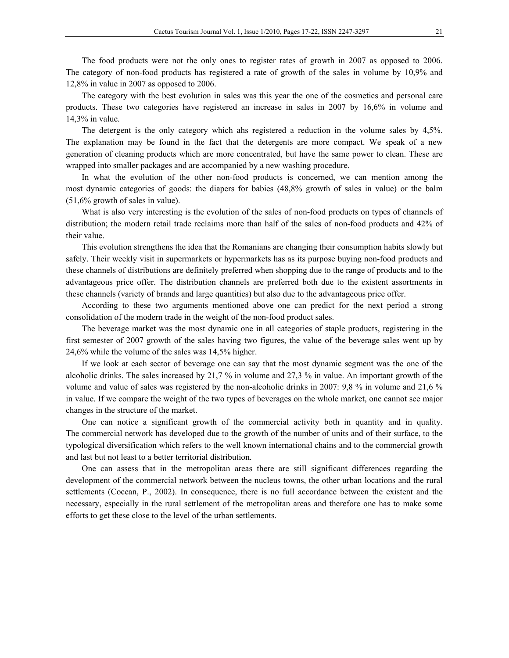The food products were not the only ones to register rates of growth in 2007 as opposed to 2006. The category of non-food products has registered a rate of growth of the sales in volume by 10,9% and 12,8% in value in 2007 as opposed to 2006.

The category with the best evolution in sales was this year the one of the cosmetics and personal care products. These two categories have registered an increase in sales in 2007 by 16,6% in volume and 14,3% in value.

The detergent is the only category which ahs registered a reduction in the volume sales by 4,5%. The explanation may be found in the fact that the detergents are more compact. We speak of a new generation of cleaning products which are more concentrated, but have the same power to clean. These are wrapped into smaller packages and are accompanied by a new washing procedure.

In what the evolution of the other non-food products is concerned, we can mention among the most dynamic categories of goods: the diapers for babies (48,8% growth of sales in value) or the balm (51,6% growth of sales in value).

What is also very interesting is the evolution of the sales of non-food products on types of channels of distribution; the modern retail trade reclaims more than half of the sales of non-food products and 42% of their value.

This evolution strengthens the idea that the Romanians are changing their consumption habits slowly but safely. Their weekly visit in supermarkets or hypermarkets has as its purpose buying non-food products and these channels of distributions are definitely preferred when shopping due to the range of products and to the advantageous price offer. The distribution channels are preferred both due to the existent assortments in these channels (variety of brands and large quantities) but also due to the advantageous price offer.

According to these two arguments mentioned above one can predict for the next period a strong consolidation of the modern trade in the weight of the non-food product sales.

The beverage market was the most dynamic one in all categories of staple products, registering in the first semester of 2007 growth of the sales having two figures, the value of the beverage sales went up by 24,6% while the volume of the sales was 14,5% higher.

If we look at each sector of beverage one can say that the most dynamic segment was the one of the alcoholic drinks. The sales increased by 21,7 % in volume and 27,3 % in value. An important growth of the volume and value of sales was registered by the non-alcoholic drinks in 2007: 9,8 % in volume and 21,6 % in value. If we compare the weight of the two types of beverages on the whole market, one cannot see major changes in the structure of the market.

One can notice a significant growth of the commercial activity both in quantity and in quality. The commercial network has developed due to the growth of the number of units and of their surface, to the typological diversification which refers to the well known international chains and to the commercial growth and last but not least to a better territorial distribution.

One can assess that in the metropolitan areas there are still significant differences regarding the development of the commercial network between the nucleus towns, the other urban locations and the rural settlements (Cocean, P., 2002). In consequence, there is no full accordance between the existent and the necessary, especially in the rural settlement of the metropolitan areas and therefore one has to make some efforts to get these close to the level of the urban settlements.